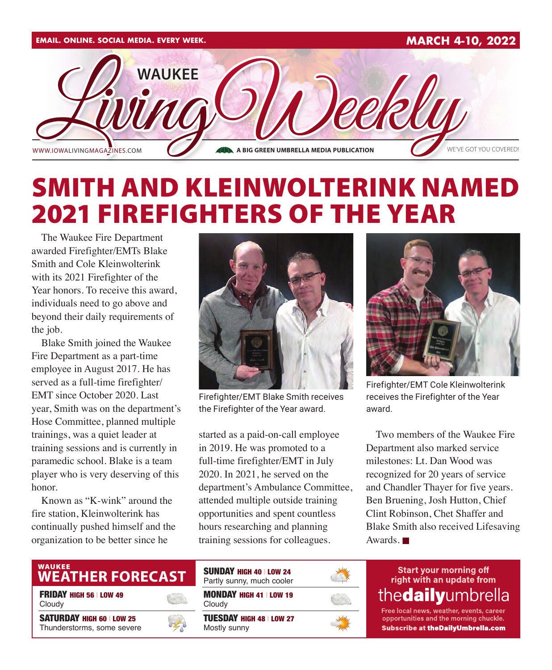

## SMITH AND KLEINWOLTERINK NAMED 2021 FIREFIGHTERS OF THE YEAR

The Waukee Fire Department awarded Firefighter/EMTs Blake Smith and Cole Kleinwolterink with its 2021 Firefighter of the Year honors. To receive this award, individuals need to go above and beyond their daily requirements of the job.

Blake Smith joined the Waukee Fire Department as a part-time employee in August 2017. He has served as a full-time firefighter/ EMT since October 2020. Last year, Smith was on the department's Hose Committee, planned multiple trainings, was a quiet leader at training sessions and is currently in paramedic school. Blake is a team player who is very deserving of this honor.

Known as "K-wink" around the fire station, Kleinwolterink has continually pushed himself and the organization to be better since he



Firefighter/EMT Blake Smith receives the Firefighter of the Year award.

started as a paid-on-call employee in 2019. He was promoted to a full-time firefighter/EMT in July 2020. In 2021, he served on the department's Ambulance Committee, attended multiple outside training opportunities and spent countless hours researching and planning training sessions for colleagues.



Firefighter/EMT Cole Kleinwolterink receives the Firefighter of the Year award.

Two members of the Waukee Fire Department also marked service milestones: Lt. Dan Wood was recognized for 20 years of service and Chandler Thayer for five years. Ben Bruening, Josh Hutton, Chief Clint Robinson, Chet Shaffer and Blake Smith also received Lifesaving Awards. $\blacksquare$ 

### **WEATHER FORECAST**

FRIDAY HIGH 56 | LOW 49 Cloudy

SATURDAY HIGH 60 | LOW 25 Thunderstorms, some severe





thedailyumbrella Free local news, weather, events, career

opportunities and the morning chuckle. **Subscribe at theDailyUmbrella.com**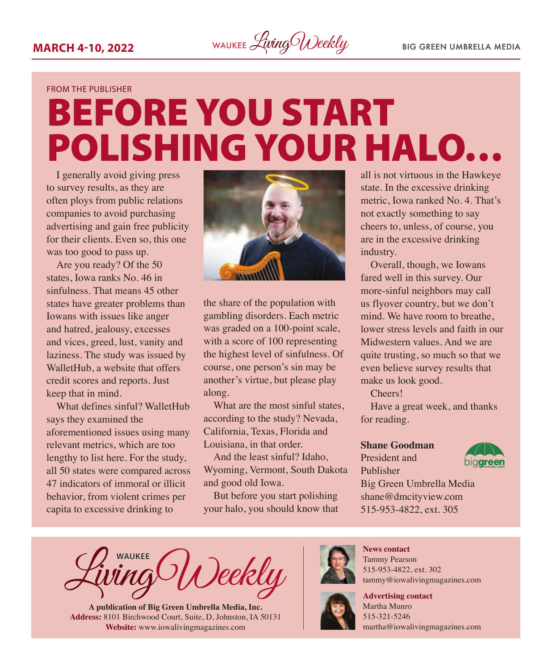

#### FROM THE PUBLISHER

# BEFORE YOU START POLISHING YOUR HALO…

I generally avoid giving press to survey results, as they are often ploys from public relations companies to avoid purchasing advertising and gain free publicity for their clients. Even so, this one was too good to pass up.

Are you ready? Of the 50 states, Iowa ranks No. 46 in sinfulness. That means 45 other states have greater problems than Iowans with issues like anger and hatred, jealousy, excesses and vices, greed, lust, vanity and laziness. The study was issued by WalletHub, a website that offers credit scores and reports. Just keep that in mind.

What defines sinful? WalletHub says they examined the aforementioned issues using many relevant metrics, which are too lengthy to list here. For the study, all 50 states were compared across 47 indicators of immoral or illicit behavior, from violent crimes per capita to excessive drinking to



the share of the population with gambling disorders. Each metric was graded on a 100-point scale, with a score of 100 representing the highest level of sinfulness. Of course, one person's sin may be another's virtue, but please play along.

What are the most sinful states, according to the study? Nevada, California, Texas, Florida and Louisiana, in that order.

And the least sinful? Idaho, Wyoming, Vermont, South Dakota and good old Iowa.

But before you start polishing your halo, you should know that

all is not virtuous in the Hawkeye state. In the excessive drinking metric, Iowa ranked No. 4. That's not exactly something to say cheers to, unless, of course, you are in the excessive drinking industry.

Overall, though, we Iowans fared well in this survey. Our more-sinful neighbors may call us flyover country, but we don't mind. We have room to breathe lower stress levels and faith in our Midwestern values. And we are quite trusting, so much so that we even believe survey results that make us look good.

Cheers!

Have a great week, and thanks for reading.

#### **Shane Goodman**

President and Publisher



Big Green Umbrella Media shane@dmcityview.com 515-953-4822, ext. 305

**WAUKEE** Veekly

**A publication of Big Green Umbrella Media, Inc. Address:** 8101 Birchwood Court, Suite, D, Johnston, IA 50131 **Website:** [www.iowalivingmagazines.com](http://www.iowalivingmagazines.com)



**News contact** Tammy Pearson 515-953-4822, ext. 302 [tammy@iowalivingmagazines.com](mailto:tammy@iowalivingmagazines.com)

**Advertising contact** Martha Munro 515-321-5246 [martha@iowalivingmagazines.com](mailto:martha@iowalivingmagazines.com)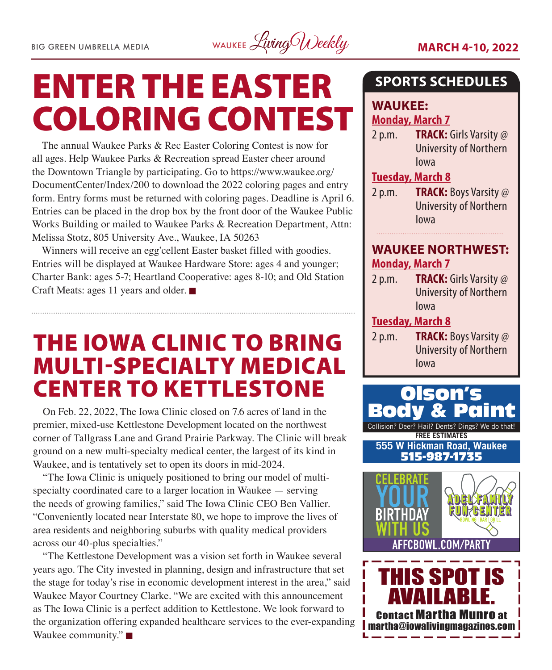

# ENTER THE EASTER COLORING CONTEST

The annual Waukee Parks & Rec Easter Coloring Contest is now for all ages. Help Waukee Parks & Recreation spread Easter cheer around the Downtown Triangle by participating. Go to [https://www.waukee.org/](https://www.waukee.org/DocumentCenter/Index/200) [DocumentCenter/Index/200](https://www.waukee.org/DocumentCenter/Index/200) to download the 2022 coloring pages and entry form. Entry forms must be returned with coloring pages. Deadline is April 6. Entries can be placed in the drop box by the front door of the Waukee Public Works Building or mailed to Waukee Parks & Recreation Department, Attn: Melissa Stotz, 805 University Ave., Waukee, IA 50263

Winners will receive an egg'cellent Easter basket filled with goodies. Entries will be displayed at Waukee Hardware Store: ages 4 and younger; Charter Bank: ages 5-7; Heartland Cooperative: ages 8-10; and Old Station Craft Meats: ages 11 years and older.  $\blacksquare$ 

### THE IOWA CLINIC TO BRING MULTI-SPECIALTY MEDICAL CENTER TO KETTLESTONE

On Feb. 22, 2022, The Iowa Clinic closed on 7.6 acres of land in the premier, mixed-use Kettlestone Development located on the northwest corner of Tallgrass Lane and Grand Prairie Parkway. The Clinic will break ground on a new multi-specialty medical center, the largest of its kind in Waukee, and is tentatively set to open its doors in mid-2024.

"The Iowa Clinic is uniquely positioned to bring our model of multispecialty coordinated care to a larger location in Waukee — serving the needs of growing families," said The Iowa Clinic CEO Ben Vallier. "Conveniently located near Interstate 80, we hope to improve the lives of area residents and neighboring suburbs with quality medical providers across our 40-plus specialties."

"The Kettlestone Development was a vision set forth in Waukee several years ago. The City invested in planning, design and infrastructure that set the stage for today's rise in economic development interest in the area," said Waukee Mayor Courtney Clarke. "We are excited with this announcement as The Iowa Clinic is a perfect addition to Kettlestone. We look forward to the organization offering expanded healthcare services to the ever-expanding Waukee community." $\blacksquare$ 

### **SPORTS SCHEDULES**

#### **WAUKEE: Monday, March 7**

2 p.m. **TRACK:** Girls Varsity @ University of Northern Iowa

#### **Tuesday, March 8**

2 p.m. **TRACK:** Boys Varsity @ University of Northern Iowa

#### **WAUKEE NORTHWEST: Monday, March 7**

2 p.m. **TRACK:** Girls Varsity @ University of Northern Iowa

#### **Tuesday, March 8**

2 p.m. **TRACK:** Boys Varsity @ University of Northern Iowa

Collision? Deer? Hail? Dents? Dings? We do that! **FREE ESTIMATES** Olson's **Body 555 W Hickman Road, Waukee** 515-987-1735



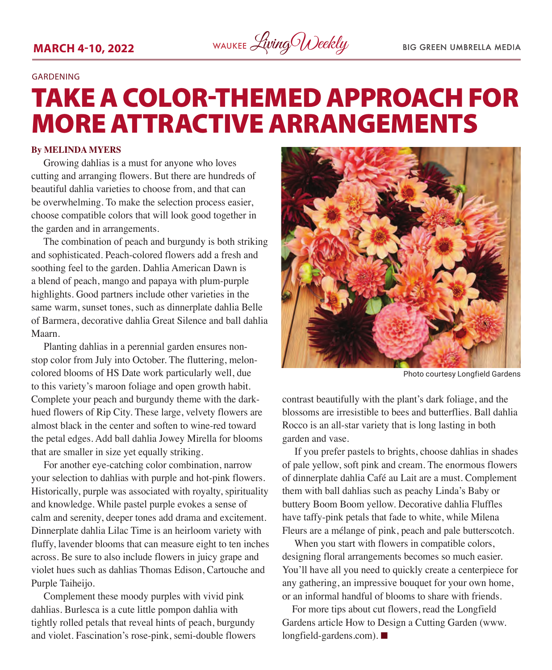

#### GARDENING

## TAKE A COLOR-THEMED APPROACH FOR MORE ATTRACTIVE ARRANGEMENTS

#### **By MELINDA MYERS**

Growing dahlias is a must for anyone who loves cutting and arranging flowers. But there are hundreds of beautiful dahlia varieties to choose from, and that can be overwhelming. To make the selection process easier, choose compatible colors that will look good together in the garden and in arrangements.

The combination of peach and burgundy is both striking and sophisticated. Peach-colored flowers add a fresh and soothing feel to the garden. Dahlia American Dawn is a blend of peach, mango and papaya with plum-purple highlights. Good partners include other varieties in the same warm, sunset tones, such as dinnerplate dahlia Belle of Barmera, decorative dahlia Great Silence and ball dahlia Maarn.

Planting dahlias in a perennial garden ensures nonstop color from July into October. The fluttering, meloncolored blooms of HS Date work particularly well, due to this variety's maroon foliage and open growth habit. Complete your peach and burgundy theme with the darkhued flowers of Rip City. These large, velvety flowers are almost black in the center and soften to wine-red toward the petal edges. Add ball dahlia Jowey Mirella for blooms that are smaller in size yet equally striking.

For another eye-catching color combination, narrow your selection to dahlias with purple and hot-pink flowers. Historically, purple was associated with royalty, spirituality and knowledge. While pastel purple evokes a sense of calm and serenity, deeper tones add drama and excitement. Dinnerplate dahlia Lilac Time is an heirloom variety with fluffy, lavender blooms that can measure eight to ten inches across. Be sure to also include flowers in juicy grape and violet hues such as dahlias Thomas Edison, Cartouche and Purple Taiheijo.

Complement these moody purples with vivid pink dahlias. Burlesca is a cute little pompon dahlia with tightly rolled petals that reveal hints of peach, burgundy and violet. Fascination's rose-pink, semi-double flowers



Photo courtesy Longfield Gardens

contrast beautifully with the plant's dark foliage, and the blossoms are irresistible to bees and butterflies. Ball dahlia Rocco is an all-star variety that is long lasting in both garden and vase.

If you prefer pastels to brights, choose dahlias in shades of pale yellow, soft pink and cream. The enormous flowers of dinnerplate dahlia Café au Lait are a must. Complement them with ball dahlias such as peachy Linda's Baby or buttery Boom Boom yellow. Decorative dahlia Fluffles have taffy-pink petals that fade to white, while Milena Fleurs are a mélange of pink, peach and pale butterscotch.

When you start with flowers in compatible colors, designing floral arrangements becomes so much easier. You'll have all you need to quickly create a centerpiece for any gathering, an impressive bouquet for your own home, or an informal handful of blooms to share with friends.

For more tips about cut flowers, read the Longfield Gardens article How to Design a Cutting Garden (www.  $longfield\text{-}gardens.com$ ).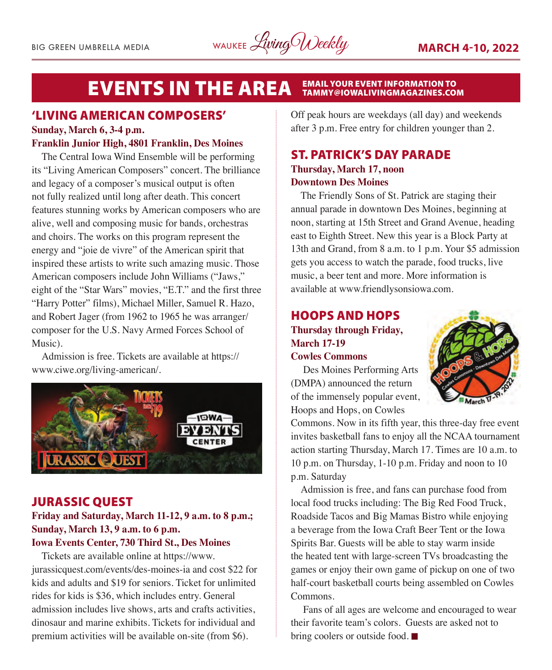#### **EVENTS IN THE AREA** EMAIL YOUR EVENT INFORMATION TO<br>TAMMY@IOWALIVINGMAGAZINES.COM

#### 'LIVING AMERICAN COMPOSERS'

#### **Sunday, March 6, 3-4 p.m. Franklin Junior High, 4801 Franklin, Des Moines**

The Central Iowa Wind Ensemble will be performing its "Living American Composers" concert. The brilliance and legacy of a composer's musical output is often not fully realized until long after death. This concert features stunning works by American composers who are alive, well and composing music for bands, orchestras and choirs. The works on this program represent the energy and "joie de vivre" of the American spirit that inspired these artists to write such amazing music. Those American composers include John Williams ("Jaws," eight of the "Star Wars" movies, "E.T." and the first three "Harry Potter" films), Michael Miller, Samuel R. Hazo, and Robert Jager (from 1962 to 1965 he was arranger/ composer for the U.S. Navy Armed Forces School of Music).

Admission is free. Tickets are available at https:// www.ciwe.org/living-american/.



#### JURASSIC QUEST

### **Friday and Saturday, March 11-12, 9 a.m. to 8 p.m.; Sunday, March 13, 9 a.m. to 6 p.m.**

#### **Iowa Events Center, 730 Third St., Des Moines** Tickets are available online at https://www.

jurassicquest.com/events/des-moines-ia and cost \$22 for kids and adults and \$19 for seniors. Ticket for unlimited rides for kids is \$36, which includes entry. General admission includes live shows, arts and crafts activities, dinosaur and marine exhibits. Tickets for individual and premium activities will be available on-site (from \$6).

Off peak hours are weekdays (all day) and weekends after 3 p.m. Free entry for children younger than 2.

#### ST. PATRICK'S DAY PARADE **Thursday, March 17, noon Downtown Des Moines**

The Friendly Sons of St. Patrick are staging their annual parade in downtown Des Moines, beginning at noon, starting at 15th Street and Grand Avenue, heading east to Eighth Street. New this year is a Block Party at 13th and Grand, from 8 a.m. to 1 p.m. Your \$5 admission gets you access to watch the parade, food trucks, live music, a beer tent and more. More information is available at www.friendlysonsiowa.com.

#### HOOPS AND HOPS **Thursday through Friday, March 17-19 Cowles Commons**



Des Moines Performing Arts (DMPA) announced the return of the immensely popular event, Hoops and Hops, on Cowles

Commons. Now in its fifth year, this three-day free event invites basketball fans to enjoy all the NCAA tournament action starting Thursday, March 17. Times are 10 a.m. to 10 p.m. on Thursday, 1-10 p.m. Friday and noon to 10 p.m. Saturday

Admission is free, and fans can purchase food from local food trucks including: The Big Red Food Truck, Roadside Tacos and Big Mamas Bistro while enjoying a beverage from the Iowa Craft Beer Tent or the Iowa Spirits Bar. Guests will be able to stay warm inside the heated tent with large-screen TVs broadcasting the games or enjoy their own game of pickup on one of two half-court basketball courts being assembled on Cowles Commons.

Fans of all ages are welcome and encouraged to wear their favorite team's colors. Guests are asked not to bring coolers or outside food.  $\blacksquare$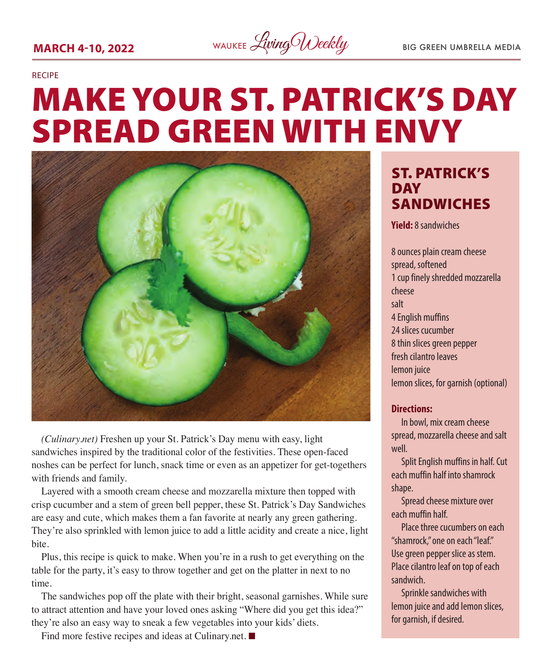### **MARCH 4-10, 2022** WAUKEE *Living Weekly* BIG GREEN UMBRELLA MEDIA

#### RECIPE

# MAKE YOUR ST. PATRICK'S DAY SPREAD GREEN WITH ENVY



*(Culinary.net)* Freshen up your St. Patrick's Day menu with easy, light sandwiches inspired by the traditional color of the festivities. These open-faced noshes can be perfect for lunch, snack time or even as an appetizer for get-togethers with friends and family.

Layered with a smooth cream cheese and mozzarella mixture then topped with crisp cucumber and a stem of green bell pepper, these St. Patrick's Day Sandwiches are easy and cute, which makes them a fan favorite at nearly any green gathering. They're also sprinkled with lemon juice to add a little acidity and create a nice, light bite.

Plus, this recipe is quick to make. When you're in a rush to get everything on the table for the party, it's easy to throw together and get on the platter in next to no time.

The sandwiches pop off the plate with their bright, seasonal garnishes. While sure to attract attention and have your loved ones asking "Where did you get this idea?" they're also an easy way to sneak a few vegetables into your kids' diets.

Find more festive recipes and ideas at Culinary.net.  $\blacksquare$ 

### ST. PATRICK'S DAY SANDWICHES

**Yield:** 8 sandwiches

8 ounces plain cream cheese spread, softened 1 cup finely shredded mozzarella cheese salt 4 English muffins 24 slices cucumber 8 thin slices green pepper fresh cilantro leaves lemon juice lemon slices, for garnish (optional)

#### **Directions:**

In bowl, mix cream cheese spread, mozzarella cheese and salt well.

Split English muffins in half. Cut each muffin half into shamrock shape.

Spread cheese mixture over each muffin half.

Place three cucumbers on each "shamrock," one on each "leaf." Use green pepper slice as stem. Place cilantro leaf on top of each sandwich.

Sprinkle sandwiches with lemon juice and add lemon slices, for garnish, if desired.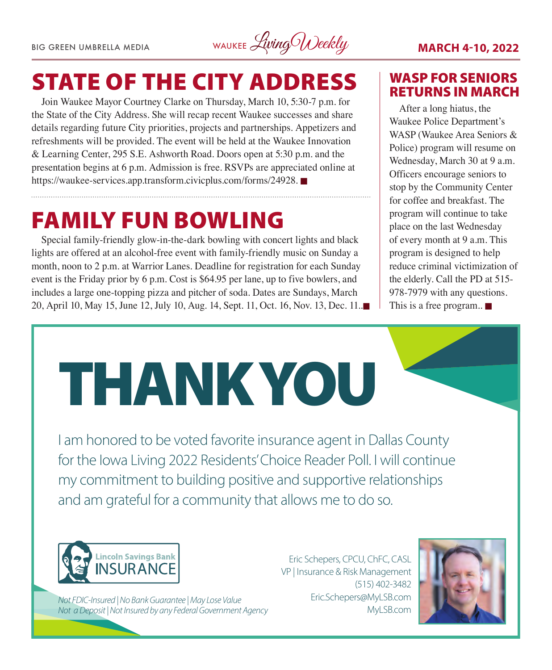BIG GREEN UMBRELLA MEDIA WAUKEE Living Weekly **MARCH 4-10, 2022** 

## STATE OF THE CITY ADDRESS

Join Waukee Mayor Courtney Clarke on Thursday, March 10, 5:30-7 p.m. for the State of the City Address. She will recap recent Waukee successes and share details regarding future City priorities, projects and partnerships. Appetizers and refreshments will be provided. The event will be held at the Waukee Innovation & Learning Center, 295 S.E. Ashworth Road. Doors open at 5:30 p.m. and the presentation begins at 6 p.m. Admission is free. RSVPs are appreciated online at [https://waukee-services.app.transform.civicplus.com/forms/24928.](https://waukee-services.app.transform.civicplus.com/forms/24928)

### FAMILY FUN BOWLING

Special family-friendly glow-in-the-dark bowling with concert lights and black lights are offered at an alcohol-free event with family-friendly music on Sunday a month, noon to 2 p.m. at Warrior Lanes. Deadline for registration for each Sunday event is the Friday prior by 6 p.m. Cost is \$64.95 per lane, up to five bowlers, and includes a large one-topping pizza and pitcher of soda. Dates are Sundays, March 20, April 10, May 15, June 12, July 10, Aug. 14, Sept. 11, Oct. 16, Nov. 13, Dec. 11.

#### WASP FOR SENIORS RETURNS IN MARCH

After a long hiatus, the Waukee Police Department's WASP (Waukee Area Seniors & Police) program will resume on Wednesday, March 30 at 9 a.m. Officers encourage seniors to stop by the Community Center for coffee and breakfast. The program will continue to take place on the last Wednesday of every month at 9 a.m. This program is designed to help reduce criminal victimization of the elderly. Call the PD at 515- 978-7979 with any questions. This is a free program..  $\blacksquare$ 



my commitment to building positive and supportive relationships and am grateful for a community that allows me to do so.



*Not FDIC-Insured | No Bank Guarantee | May Lose Value Not a Deposit | Not Insured by any Federal Government Agency*

Eric Schepers, CPCU, ChFC, CASL VP | Insurance & Risk Management (515) 402-3482 Eric.Schepers@MyLSB.com MyLSB.com